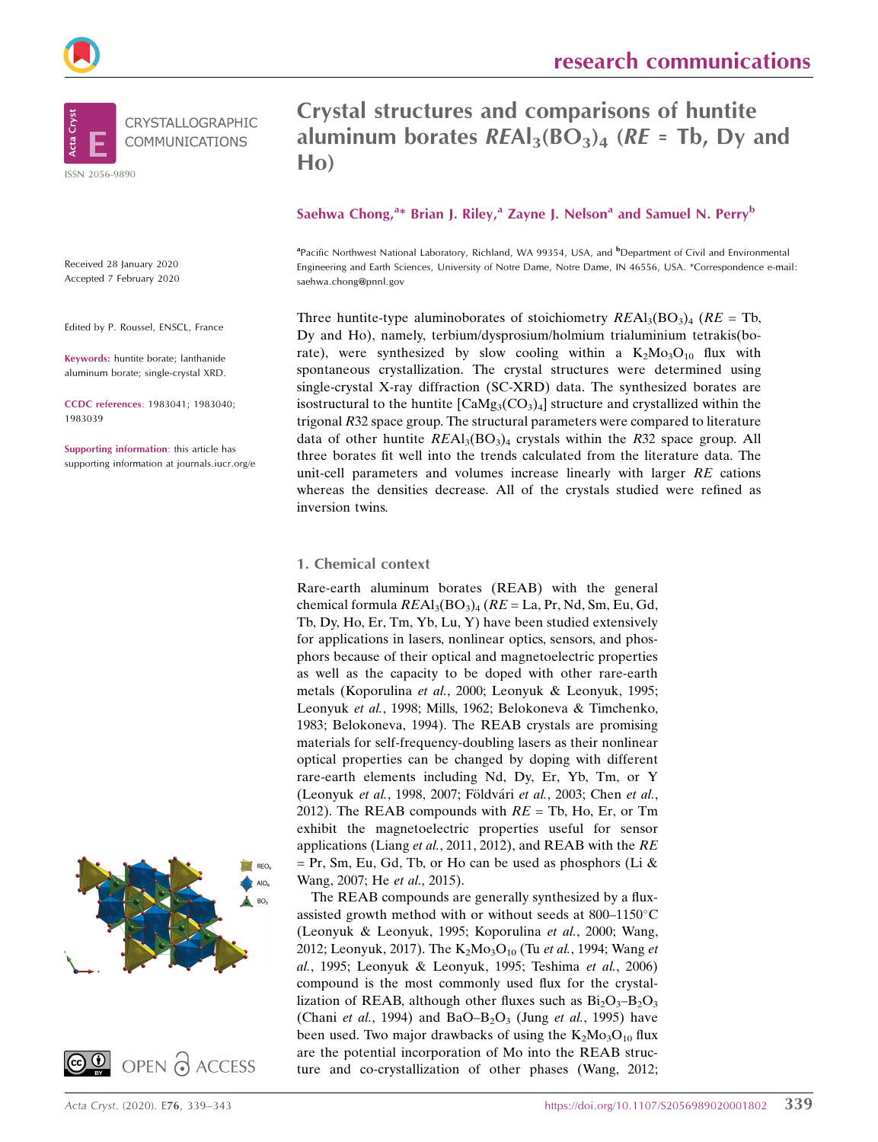

Received 28 January 2020 Accepted 7 February 2020

Edited by P. Roussel, ENSCL, France

Keywords: huntite borate; lanthanide aluminum borate; single-crystal XRD.

CCDC references: 1983041; 1983040; 1983039

Supporting information: this article has supporting information at journals.iucr.org/e





# Crystal structures and comparisons of huntite aluminum borates  $REAI<sub>3</sub>(BO<sub>3</sub>)<sub>4</sub>$  (RE = Tb, Dy and Ho)

### Saehwa Chong,<sup>a\*</sup> Brian J. Riley,<sup>a</sup> Zayne J. Nelson<sup>a</sup> and Samuel N. Perry<sup>b</sup>

<sup>a</sup> Pacific Northwest National Laboratory, Richland, WA 99354, USA, and <sup>b</sup> Department of Civil and Environmental Engineering and Earth Sciences, University of Notre Dame, Notre Dame, IN 46556, USA. \*Correspondence e-mail: saehwa.chong@pnnl.gov

Three huntite-type aluminoborates of stoichiometry  $REAI_3(BO_3)_4$  ( $RE = Tb$ , Dy and Ho), namely, terbium/dysprosium/holmium trialuminium tetrakis(borate), were synthesized by slow cooling within a  $K_2M_0^3O_{10}$  flux with spontaneous crystallization. The crystal structures were determined using single-crystal X-ray diffraction (SC-XRD) data. The synthesized borates are isostructural to the huntite  $\text{[CaMg}_3(\text{CO}_3)_4\text{]}$  structure and crystallized within the trigonal R32 space group. The structural parameters were compared to literature data of other huntite  $REAI<sub>3</sub>(BO<sub>3</sub>)<sub>4</sub>$  crystals within the R32 space group. All three borates fit well into the trends calculated from the literature data. The unit-cell parameters and volumes increase linearly with larger RE cations whereas the densities decrease. All of the crystals studied were refined as inversion twins.

#### 1. Chemical context

Rare-earth aluminum borates (REAB) with the general chemical formula  $REAI<sub>3</sub>(BO<sub>3</sub>)<sub>4</sub> (RE = La, Pr, Nd, Sm, Eu, Gd,$ Tb, Dy, Ho, Er, Tm, Yb, Lu, Y) have been studied extensively for applications in lasers, nonlinear optics, sensors, and phosphors because of their optical and magnetoelectric properties as well as the capacity to be doped with other rare-earth metals (Koporulina et al., 2000; Leonyuk & Leonyuk, 1995; Leonyuk et al., 1998; Mills, 1962; Belokoneva & Timchenko, 1983; Belokoneva, 1994). The REAB crystals are promising materials for self-frequency-doubling lasers as their nonlinear optical properties can be changed by doping with different rare-earth elements including Nd, Dy, Er, Yb, Tm, or Y (Leonyuk et al., 1998, 2007; Földvári et al., 2003; Chen et al., 2012). The REAB compounds with  $RE = Tb$ , Ho, Er, or Tm exhibit the magnetoelectric properties useful for sensor applications (Liang et al., 2011, 2012), and REAB with the RE  $=$  Pr, Sm, Eu, Gd, Tb, or Ho can be used as phosphors (Li & Wang, 2007; He et al., 2015).

The REAB compounds are generally synthesized by a fluxassisted growth method with or without seeds at 800-1150°C (Leonyuk & Leonyuk, 1995; Koporulina et al., 2000; Wang, 2012; Leonyuk, 2017). The  $K_2Mo_3O_{10}$  (Tu *et al.*, 1994; Wang *et* al., 1995; Leonyuk & Leonyuk, 1995; Teshima et al., 2006) compound is the most commonly used flux for the crystallization of REAB, although other fluxes such as  $Bi_2O_3-B_2O_3$ (Chani et al., 1994) and BaO–B<sub>2</sub>O<sub>3</sub> (Jung et al., 1995) have been used. Two major drawbacks of using the  $K_2Mo_3O_{10}$  flux are the potential incorporation of Mo into the REAB structure and co-crystallization of other phases (Wang, 2012;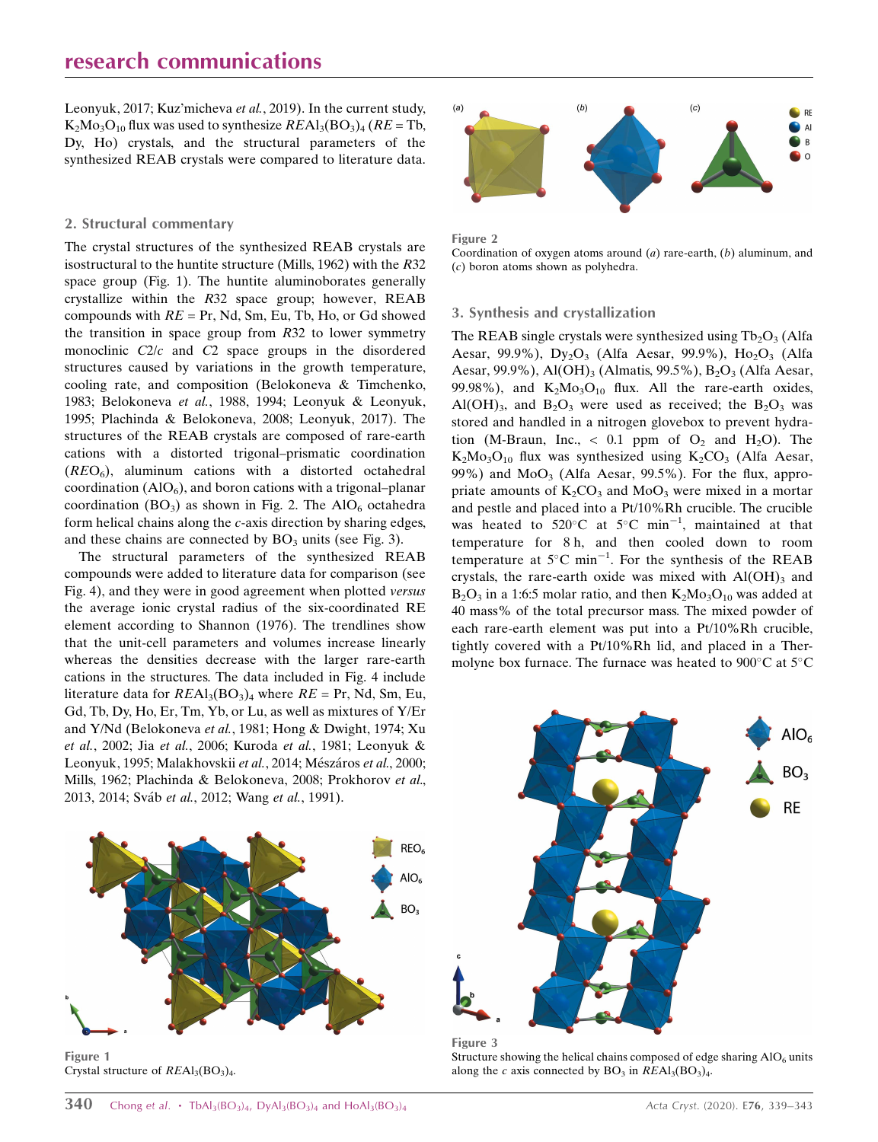Leonyuk, 2017; Kuz'micheva et al., 2019). In the current study,  $K_2Mo_3O_{10}$  flux was used to synthesize  $REAl_3(BO_3)_4$  ( $RE = Tb$ , Dy, Ho) crystals, and the structural parameters of the synthesized REAB crystals were compared to literature data.

#### 2. Structural commentary

The crystal structures of the synthesized REAB crystals are isostructural to the huntite structure (Mills, 1962) with the R32 space group (Fig. 1). The huntite aluminoborates generally crystallize within the R32 space group; however, REAB compounds with  $RE = Pr$ , Nd, Sm, Eu, Tb, Ho, or Gd showed the transition in space group from  $R32$  to lower symmetry monoclinic C2/c and C2 space groups in the disordered structures caused by variations in the growth temperature, cooling rate, and composition (Belokoneva & Timchenko, 1983; Belokoneva et al., 1988, 1994; Leonyuk & Leonyuk, 1995; Plachinda & Belokoneva, 2008; Leonyuk, 2017). The structures of the REAB crystals are composed of rare-earth cations with a distorted trigonal–prismatic coordination  $(REO<sub>6</sub>)$ , aluminum cations with a distorted octahedral coordination  $(AIO<sub>6</sub>)$ , and boron cations with a trigonal–planar coordination  $(BO_3)$  as shown in Fig. 2. The AlO<sub>6</sub> octahedra form helical chains along the c-axis direction by sharing edges, and these chains are connected by  $BO_3$  units (see Fig. 3).

The structural parameters of the synthesized REAB compounds were added to literature data for comparison (see Fig. 4), and they were in good agreement when plotted versus the average ionic crystal radius of the six-coordinated RE element according to Shannon (1976). The trendlines show that the unit-cell parameters and volumes increase linearly whereas the densities decrease with the larger rare-earth cations in the structures. The data included in Fig. 4 include literature data for  $REAI_3(BO_3)_4$  where  $RE = Pr$ , Nd, Sm, Eu, Gd, Tb, Dy, Ho, Er, Tm, Yb, or Lu, as well as mixtures of Y/Er and Y/Nd (Belokoneva et al., 1981; Hong & Dwight, 1974; Xu et al., 2002; Jia et al., 2006; Kuroda et al., 1981; Leonyuk & Leonyuk, 1995; Malakhovskii et al., 2014; Mészáros et al., 2000; Mills, 1962; Plachinda & Belokoneva, 2008; Prokhorov et al., 2013, 2014; Sváb et al., 2012; Wang et al., 1991).



Figure 1 Crystal structure of  $REAl<sub>3</sub>(BO<sub>3</sub>)<sub>4</sub>$ .



Figure 2

Coordination of oxygen atoms around  $(a)$  rare-earth,  $(b)$  aluminum, and (c) boron atoms shown as polyhedra.

#### 3. Synthesis and crystallization

The REAB single crystals were synthesized using  $Tb_2O_3$  (Alfa Aesar, 99.9%),  $Dy_2O_3$  (Alfa Aesar, 99.9%),  $Ho_2O_3$  (Alfa Aesar, 99.9%), Al $(OH)_{3}$  (Almatis, 99.5%), B<sub>2</sub>O<sub>3</sub> (Alfa Aesar, 99.98%), and  $K_2Mo_3O_{10}$  flux. All the rare-earth oxides, Al(OH)<sub>3</sub>, and B<sub>2</sub>O<sub>3</sub> were used as received; the B<sub>2</sub>O<sub>3</sub> was stored and handled in a nitrogen glovebox to prevent hydration (M-Braun, Inc.,  $\langle 0.1 \rangle$  ppm of  $O_2$  and H<sub>2</sub>O). The  $K_2Mo_3O_{10}$  flux was synthesized using  $K_2CO_3$  (Alfa Aesar, 99%) and  $MoO<sub>3</sub>$  (Alfa Aesar, 99.5%). For the flux, appropriate amounts of  $K_2CO_3$  and  $MoO_3$  were mixed in a mortar and pestle and placed into a Pt/10%Rh crucible. The crucible was heated to 520 $^{\circ}$ C at 5 $^{\circ}$ C min<sup>-1</sup>, maintained at that temperature for 8 h, and then cooled down to room temperature at  $5^{\circ}$ C min<sup>-1</sup>. For the synthesis of the REAB crystals, the rare-earth oxide was mixed with  $AI(OH)_{3}$  and  $B_2O_3$  in a 1:6:5 molar ratio, and then  $K_2Mo_3O_{10}$  was added at 40 mass% of the total precursor mass. The mixed powder of each rare-earth element was put into a Pt/10%Rh crucible, tightly covered with a Pt/10%Rh lid, and placed in a Thermolyne box furnace. The furnace was heated to  $900^{\circ}$ C at  $5^{\circ}$ C



Figure 3 Structure showing the helical chains composed of edge sharing  $AIO<sub>6</sub>$  units along the c axis connected by  $BO_3$  in  $REAl_3(BO_3)_4$ .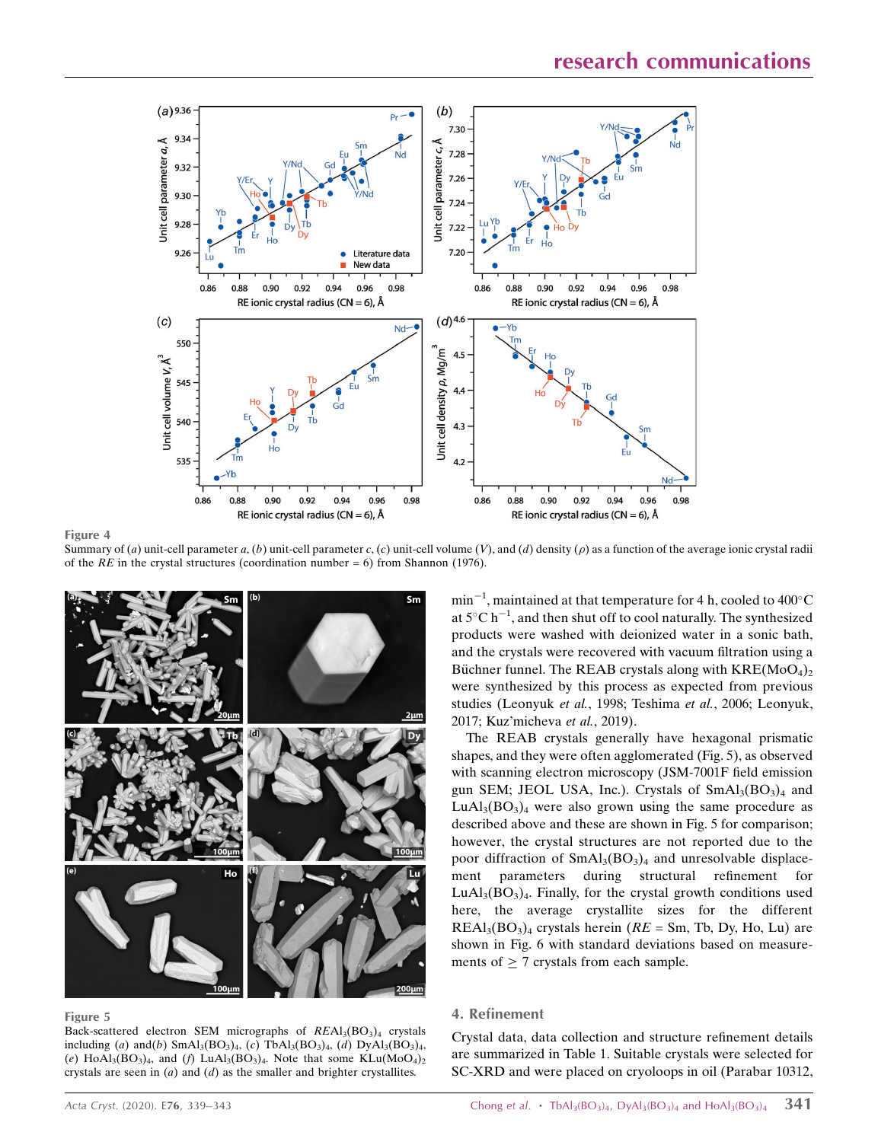

Figure 4

Summary of (a) unit-cell parameter a, (b) unit-cell parameter c, (c) unit-cell volume (V), and (d) density ( $\rho$ ) as a function of the average ionic crystal radii of the RE in the crystal structures (coordination number = 6) from Shannon (1976).



Figure 5

Back-scattered electron SEM micrographs of  $REAI<sub>3</sub>(BO<sub>3</sub>)<sub>4</sub>$  crystals including (a) and(b)  $SmAl<sub>3</sub>(BO<sub>3</sub>)<sub>4</sub>$ , (c)  $TbAl<sub>3</sub>(BO<sub>3</sub>)<sub>4</sub>$ , (d)  $DyAl<sub>3</sub>(BO<sub>3</sub>)<sub>4</sub>$ , (e) HoAl<sub>3</sub>(BO<sub>3</sub>)<sub>4</sub>, and (f) LuAl<sub>3</sub>(BO<sub>3</sub>)<sub>4</sub>. Note that some KLu(MoO<sub>4</sub>)<sub>2</sub> crystals are seen in  $(a)$  and  $(d)$  as the smaller and brighter crystallites.

 $min^{-1}$ , maintained at that temperature for 4 h, cooled to 400 $^{\circ}$ C at  $5^{\circ}$ C h<sup>-1</sup>, and then shut off to cool naturally. The synthesized products were washed with deionized water in a sonic bath, and the crystals were recovered with vacuum filtration using a Büchner funnel. The REAB crystals along with  $KRE(M_0O_4)_2$ were synthesized by this process as expected from previous studies (Leonyuk et al., 1998; Teshima et al., 2006; Leonyuk, 2017; Kuz'micheva et al., 2019).

The REAB crystals generally have hexagonal prismatic shapes, and they were often agglomerated (Fig. 5), as observed with scanning electron microscopy (JSM-7001F field emission gun SEM; JEOL USA, Inc.). Crystals of  $SmAl<sub>3</sub>(BO<sub>3</sub>)<sub>4</sub>$  and  $LuAl<sub>3</sub>(BO<sub>3</sub>)<sub>4</sub>$  were also grown using the same procedure as described above and these are shown in Fig. 5 for comparison; however, the crystal structures are not reported due to the poor diffraction of  $SmAl<sub>3</sub>(BO<sub>3</sub>)<sub>4</sub>$  and unresolvable displacement parameters during structural refinement for  $LuAl<sub>3</sub>(BO<sub>3</sub>)<sub>4</sub>$ . Finally, for the crystal growth conditions used here, the average crystallite sizes for the different  $REAI<sub>3</sub>(BO<sub>3</sub>)<sub>4</sub>$  crystals herein ( $RE = Sm$ , Tb, Dy, Ho, Lu) are shown in Fig. 6 with standard deviations based on measurements of  $\geq$  7 crystals from each sample.

#### 4. Refinement

Crystal data, data collection and structure refinement details are summarized in Table 1. Suitable crystals were selected for SC-XRD and were placed on cryoloops in oil (Parabar 10312,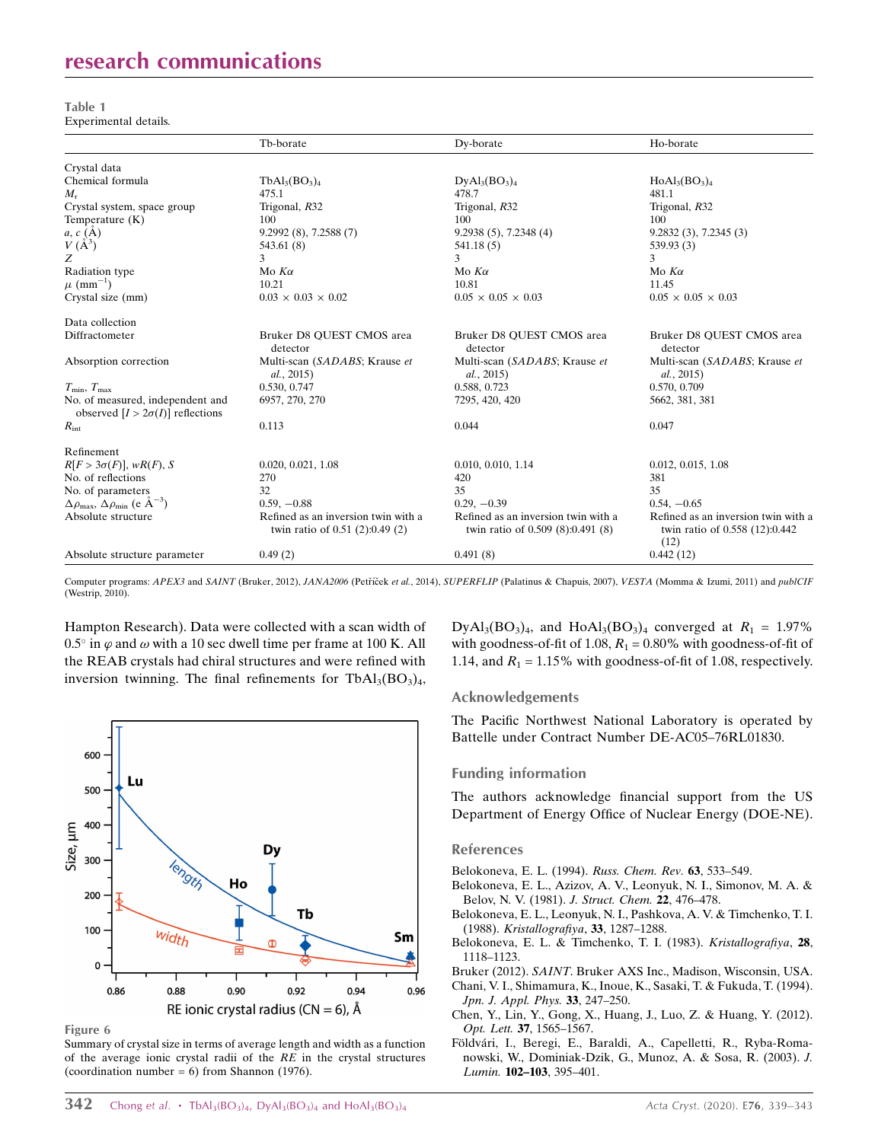# research communications

Table 1 Experimental details.

|                                                                              | Tb-borate                                                              | Dy-borate                                                                | Ho-borate                                                                     |
|------------------------------------------------------------------------------|------------------------------------------------------------------------|--------------------------------------------------------------------------|-------------------------------------------------------------------------------|
| Crystal data                                                                 |                                                                        |                                                                          |                                                                               |
| Chemical formula                                                             | $TbAl3(BO3)4$                                                          | $DyAl_3(BO_3)_4$                                                         | $HoAl3(BO3)4$                                                                 |
| $M_{\rm r}$                                                                  | 475.1                                                                  | 478.7                                                                    | 481.1                                                                         |
| Crystal system, space group                                                  | Trigonal, R32                                                          | Trigonal, R32                                                            | Trigonal, R32                                                                 |
| Temperature $(K)$                                                            | 100                                                                    | 100                                                                      | 100                                                                           |
| $a, c (\A)$                                                                  | 9.2992(8), 7.2588(7)                                                   | $9.2938(5)$ , 7.2348(4)                                                  | 9.2832(3), 7.2345(3)                                                          |
| $V(A^3)$                                                                     | 543.61 (8)                                                             | 541.18 (5)                                                               | 539.93 (3)                                                                    |
| Z                                                                            | 3                                                                      | 3                                                                        | 3                                                                             |
| Radiation type                                                               | Mo $K\alpha$                                                           | Mo $K\alpha$                                                             | Mo $K\alpha$                                                                  |
| $\mu$ (mm <sup>-1</sup> )                                                    | 10.21                                                                  | 10.81                                                                    | 11.45                                                                         |
| Crystal size (mm)                                                            | $0.03 \times 0.03 \times 0.02$                                         | $0.05 \times 0.05 \times 0.03$                                           | $0.05 \times 0.05 \times 0.03$                                                |
| Data collection                                                              |                                                                        |                                                                          |                                                                               |
| Diffractometer                                                               | Bruker D8 OUEST CMOS area<br>detector                                  | Bruker D8 OUEST CMOS area<br>detector                                    | Bruker D8 QUEST CMOS area<br>detector                                         |
| Absorption correction                                                        | Multi-scan (SADABS; Krause et<br>al., 2015)                            | Multi-scan (SADABS; Krause et<br>al., 2015)                              | Multi-scan (SADABS; Krause et<br>al., 2015)                                   |
| $T_{\rm min}, T_{\rm max}$                                                   | 0.530, 0.747                                                           | 0.588, 0.723                                                             | 0.570, 0.709                                                                  |
| No. of measured, independent and<br>observed $[I > 2\sigma(I)]$ reflections  | 6957, 270, 270                                                         | 7295, 420, 420                                                           | 5662, 381, 381                                                                |
| $R_{\rm int}$                                                                | 0.113                                                                  | 0.044                                                                    | 0.047                                                                         |
| Refinement                                                                   |                                                                        |                                                                          |                                                                               |
| $R[F > 3\sigma(F)]$ , w $R(F)$ , S                                           | 0.020, 0.021, 1.08                                                     | 0.010, 0.010, 1.14                                                       | 0.012, 0.015, 1.08                                                            |
| No. of reflections                                                           | 270                                                                    | 420                                                                      | 381                                                                           |
| No. of parameters                                                            | 32                                                                     | 35                                                                       | 35                                                                            |
| $\Delta \rho_{\text{max}}$ , $\Delta \rho_{\text{min}}$ (e Å <sup>-3</sup> ) | $0.59, -0.88$                                                          | $0.29, -0.39$                                                            | $0.54, -0.65$                                                                 |
| Absolute structure                                                           | Refined as an inversion twin with a<br>twin ratio of 0.51 (2):0.49 (2) | Refined as an inversion twin with a<br>twin ratio of $0.509(8):0.491(8)$ | Refined as an inversion twin with a<br>twin ratio of 0.558 (12):0.442<br>(12) |
| Absolute structure parameter                                                 | 0.49(2)                                                                | 0.491(8)                                                                 | 0.442(12)                                                                     |

Computer programs: APEX3 and SAINT (Bruker, 2012), JANA2006 (Petříček et al., 2014), SUPERFLIP (Palatinus & Chapuis, 2007), VESTA (Momma & Izumi, 2011) and publCIF (Westrip, 2010).

Hampton Research). Data were collected with a scan width of 0.5° in  $\varphi$  and  $\omega$  with a 10 sec dwell time per frame at 100 K. All the REAB crystals had chiral structures and were refined with inversion twinning. The final refinements for  $TbAl<sub>3</sub>(BO<sub>3</sub>)<sub>4</sub>$ ,



Figure 6

Summary of crystal size in terms of average length and width as a function of the average ionic crystal radii of the  $RE$  in the crystal structures (coordination number =  $6$ ) from Shannon (1976).

DyAl<sub>3</sub>(BO<sub>3</sub>)<sub>4</sub>, and HoAl<sub>3</sub>(BO<sub>3</sub>)<sub>4</sub> converged at  $R_1 = 1.97\%$ with goodness-of-fit of 1.08,  $R_1 = 0.80\%$  with goodness-of-fit of 1.14, and  $R_1 = 1.15\%$  with goodness-of-fit of 1.08, respectively.

#### Acknowledgements

The Pacific Northwest National Laboratory is operated by Battelle under Contract Number DE-AC05–76RL01830.

#### Funding information

The authors acknowledge financial support from the US Department of Energy Office of Nuclear Energy (DOE-NE).

#### References

[Belokoneva, E. L. \(1994\).](http://scripts.iucr.org/cgi-bin/cr.cgi?rm=pdfbb&cnor=ru2069&bbid=BB1) Russ. Chem. Rev. 63, 533–549.

- [Belokoneva, E. L., Azizov, A. V., Leonyuk, N. I., Simonov, M. A. &](http://scripts.iucr.org/cgi-bin/cr.cgi?rm=pdfbb&cnor=ru2069&bbid=BB2) [Belov, N. V. \(1981\).](http://scripts.iucr.org/cgi-bin/cr.cgi?rm=pdfbb&cnor=ru2069&bbid=BB2) J. Struct. Chem. 22, 476–478.
- [Belokoneva, E. L., Leonyuk, N. I., Pashkova, A. V. & Timchenko, T. I.](http://scripts.iucr.org/cgi-bin/cr.cgi?rm=pdfbb&cnor=ru2069&bbid=BB3) (1988). [Kristallografiya](http://scripts.iucr.org/cgi-bin/cr.cgi?rm=pdfbb&cnor=ru2069&bbid=BB3), 33, 1287–1288.
- [Belokoneva, E. L. & Timchenko, T. I. \(1983\).](http://scripts.iucr.org/cgi-bin/cr.cgi?rm=pdfbb&cnor=ru2069&bbid=BB4) Kristallografiya, 28, [1118–1123.](http://scripts.iucr.org/cgi-bin/cr.cgi?rm=pdfbb&cnor=ru2069&bbid=BB4)
- Bruker (2012). SAINT[. Bruker AXS Inc., Madison, Wisconsin, USA.](http://scripts.iucr.org/cgi-bin/cr.cgi?rm=pdfbb&cnor=ru2069&bbid=BB39)
- [Chani, V. I., Shimamura, K., Inoue, K., Sasaki, T. & Fukuda, T. \(1994\).](http://scripts.iucr.org/cgi-bin/cr.cgi?rm=pdfbb&cnor=ru2069&bbid=BB5) [Jpn. J. Appl. Phys.](http://scripts.iucr.org/cgi-bin/cr.cgi?rm=pdfbb&cnor=ru2069&bbid=BB5) 33, 247–250.
- [Chen, Y., Lin, Y., Gong, X., Huang, J., Luo, Z. & Huang, Y. \(2012\).](http://scripts.iucr.org/cgi-bin/cr.cgi?rm=pdfbb&cnor=ru2069&bbid=BB6) Opt. Lett. 37[, 1565–1567.](http://scripts.iucr.org/cgi-bin/cr.cgi?rm=pdfbb&cnor=ru2069&bbid=BB6)
- Földvári, I., Beregi, E., Baraldi, A., Capelletti, R., Ryba-Roma[nowski, W., Dominiak-Dzik, G., Munoz, A. & Sosa, R. \(2003\).](http://scripts.iucr.org/cgi-bin/cr.cgi?rm=pdfbb&cnor=ru2069&bbid=BB7) J. Lumin. 102–103[, 395–401.](http://scripts.iucr.org/cgi-bin/cr.cgi?rm=pdfbb&cnor=ru2069&bbid=BB7)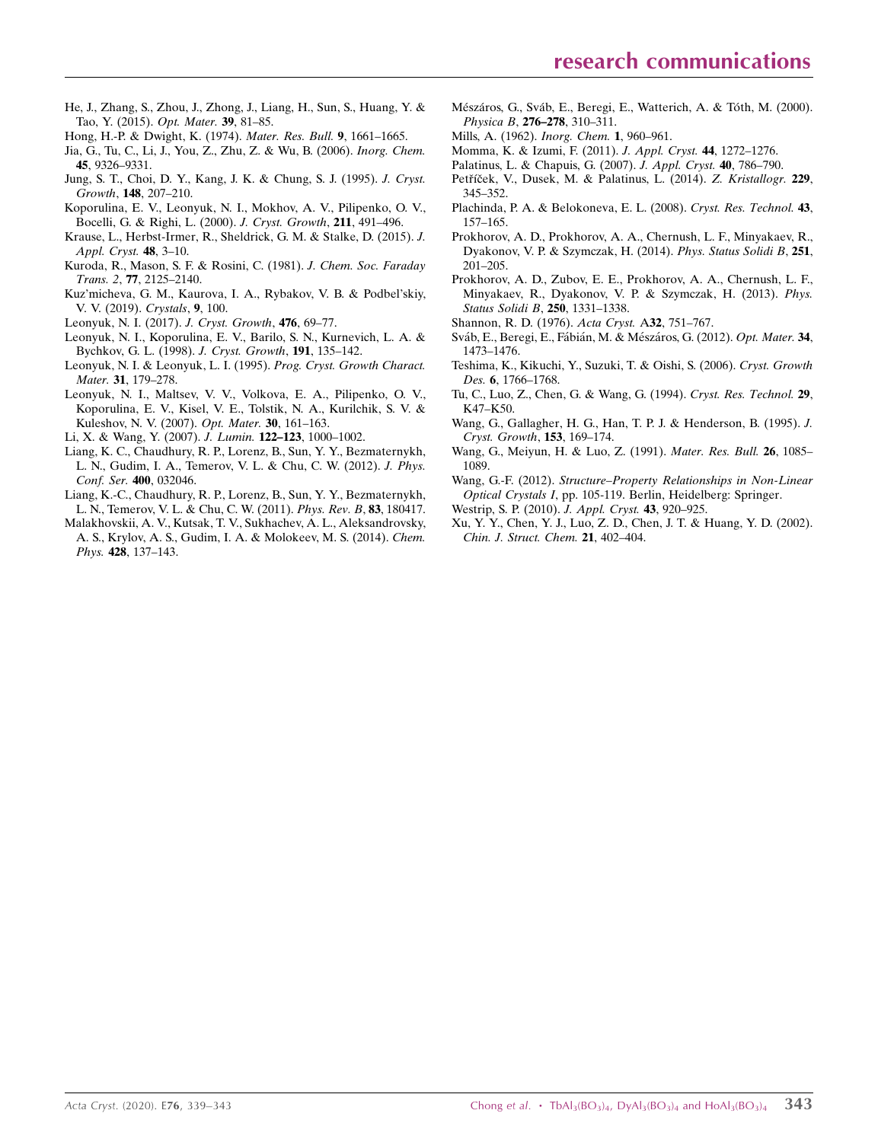- [He, J., Zhang, S., Zhou, J., Zhong, J., Liang, H., Sun, S., Huang, Y. &](http://scripts.iucr.org/cgi-bin/cr.cgi?rm=pdfbb&cnor=ru2069&bbid=BB41) [Tao, Y. \(2015\).](http://scripts.iucr.org/cgi-bin/cr.cgi?rm=pdfbb&cnor=ru2069&bbid=BB41) Opt. Mater. 39, 81–85.
- [Hong, H.-P. & Dwight, K. \(1974\).](http://scripts.iucr.org/cgi-bin/cr.cgi?rm=pdfbb&cnor=ru2069&bbid=BB9) Mater. Res. Bull. 9, 1661–1665.
- [Jia, G., Tu, C., Li, J., You, Z., Zhu, Z. & Wu, B. \(2006\).](http://scripts.iucr.org/cgi-bin/cr.cgi?rm=pdfbb&cnor=ru2069&bbid=BB10) Inorg. Chem. 45[, 9326–9331.](http://scripts.iucr.org/cgi-bin/cr.cgi?rm=pdfbb&cnor=ru2069&bbid=BB10)
- [Jung, S. T., Choi, D. Y., Kang, J. K. & Chung, S. J. \(1995\).](http://scripts.iucr.org/cgi-bin/cr.cgi?rm=pdfbb&cnor=ru2069&bbid=BB11) J. Cryst. Growth, 148[, 207–210.](http://scripts.iucr.org/cgi-bin/cr.cgi?rm=pdfbb&cnor=ru2069&bbid=BB11)
- [Koporulina, E. V., Leonyuk, N. I., Mokhov, A. V., Pilipenko, O. V.,](http://scripts.iucr.org/cgi-bin/cr.cgi?rm=pdfbb&cnor=ru2069&bbid=BB12) [Bocelli, G. & Righi, L. \(2000\).](http://scripts.iucr.org/cgi-bin/cr.cgi?rm=pdfbb&cnor=ru2069&bbid=BB12) J. Cryst. Growth, 211, 491–496.
- [Krause, L., Herbst-Irmer, R., Sheldrick, G. M. & Stalke, D. \(2015\).](http://scripts.iucr.org/cgi-bin/cr.cgi?rm=pdfbb&cnor=ru2069&bbid=BB13) J. [Appl. Cryst.](http://scripts.iucr.org/cgi-bin/cr.cgi?rm=pdfbb&cnor=ru2069&bbid=BB13) 48, 3–10.
- [Kuroda, R., Mason, S. F. & Rosini, C. \(1981\).](http://scripts.iucr.org/cgi-bin/cr.cgi?rm=pdfbb&cnor=ru2069&bbid=BB14) J. Chem. Soc. Faraday Trans. 2, 77[, 2125–2140.](http://scripts.iucr.org/cgi-bin/cr.cgi?rm=pdfbb&cnor=ru2069&bbid=BB14)
- [Kuz'micheva, G. M., Kaurova, I. A., Rybakov, V. B. & Podbel'skiy,](http://scripts.iucr.org/cgi-bin/cr.cgi?rm=pdfbb&cnor=ru2069&bbid=BB15) [V. V. \(2019\).](http://scripts.iucr.org/cgi-bin/cr.cgi?rm=pdfbb&cnor=ru2069&bbid=BB15) Crystals, 9, 100.
- [Leonyuk, N. I. \(2017\).](http://scripts.iucr.org/cgi-bin/cr.cgi?rm=pdfbb&cnor=ru2069&bbid=BB16) J. Cryst. Growth, 476, 69–77.
- [Leonyuk, N. I., Koporulina, E. V., Barilo, S. N., Kurnevich, L. A. &](http://scripts.iucr.org/cgi-bin/cr.cgi?rm=pdfbb&cnor=ru2069&bbid=BB17) [Bychkov, G. L. \(1998\).](http://scripts.iucr.org/cgi-bin/cr.cgi?rm=pdfbb&cnor=ru2069&bbid=BB17) J. Cryst. Growth, 191, 135–142.
- [Leonyuk, N. I. & Leonyuk, L. I. \(1995\).](http://scripts.iucr.org/cgi-bin/cr.cgi?rm=pdfbb&cnor=ru2069&bbid=BB18) Prog. Cryst. Growth Charact. Mater. 31[, 179–278.](http://scripts.iucr.org/cgi-bin/cr.cgi?rm=pdfbb&cnor=ru2069&bbid=BB18)
- [Leonyuk, N. I., Maltsev, V. V., Volkova, E. A., Pilipenko, O. V.,](http://scripts.iucr.org/cgi-bin/cr.cgi?rm=pdfbb&cnor=ru2069&bbid=BB19) [Koporulina, E. V., Kisel, V. E., Tolstik, N. A., Kurilchik, S. V. &](http://scripts.iucr.org/cgi-bin/cr.cgi?rm=pdfbb&cnor=ru2069&bbid=BB19) [Kuleshov, N. V. \(2007\).](http://scripts.iucr.org/cgi-bin/cr.cgi?rm=pdfbb&cnor=ru2069&bbid=BB19) Opt. Mater. 30, 161–163.
- [Li, X. & Wang, Y. \(2007\).](http://scripts.iucr.org/cgi-bin/cr.cgi?rm=pdfbb&cnor=ru2069&bbid=BB20) J. Lumin. 122–123, 1000–1002.
- [Liang, K. C., Chaudhury, R. P., Lorenz, B., Sun, Y. Y., Bezmaternykh,](http://scripts.iucr.org/cgi-bin/cr.cgi?rm=pdfbb&cnor=ru2069&bbid=BB21) [L. N., Gudim, I. A., Temerov, V. L. & Chu, C. W. \(2012\).](http://scripts.iucr.org/cgi-bin/cr.cgi?rm=pdfbb&cnor=ru2069&bbid=BB21) J. Phys. [Conf. Ser.](http://scripts.iucr.org/cgi-bin/cr.cgi?rm=pdfbb&cnor=ru2069&bbid=BB21) 400, 032046.
- [Liang, K.-C., Chaudhury, R. P., Lorenz, B., Sun, Y. Y., Bezmaternykh,](http://scripts.iucr.org/cgi-bin/cr.cgi?rm=pdfbb&cnor=ru2069&bbid=BB22) [L. N., Temerov, V. L. & Chu, C. W. \(2011\).](http://scripts.iucr.org/cgi-bin/cr.cgi?rm=pdfbb&cnor=ru2069&bbid=BB22) Phys. Rev. B, 83, 180417.
- [Malakhovskii, A. V., Kutsak, T. V., Sukhachev, A. L., Aleksandrovsky,](http://scripts.iucr.org/cgi-bin/cr.cgi?rm=pdfbb&cnor=ru2069&bbid=BB23) [A. S., Krylov, A. S., Gudim, I. A. & Molokeev, M. S. \(2014\).](http://scripts.iucr.org/cgi-bin/cr.cgi?rm=pdfbb&cnor=ru2069&bbid=BB23) Chem. Phys. 428[, 137–143.](http://scripts.iucr.org/cgi-bin/cr.cgi?rm=pdfbb&cnor=ru2069&bbid=BB23)
- Mészáros, G., Sváb, E., Beregi, E., Watterich, A. & Tóth, M. (2000). [Physica B](http://scripts.iucr.org/cgi-bin/cr.cgi?rm=pdfbb&cnor=ru2069&bbid=BB24), 276–278, 310–311.
- [Mills, A. \(1962\).](http://scripts.iucr.org/cgi-bin/cr.cgi?rm=pdfbb&cnor=ru2069&bbid=BB25) Inorg. Chem. 1, 960–961.
- [Momma, K. & Izumi, F. \(2011\).](http://scripts.iucr.org/cgi-bin/cr.cgi?rm=pdfbb&cnor=ru2069&bbid=BB40) J. Appl. Cryst. 44, 1272–1276.
- [Palatinus, L. & Chapuis, G. \(2007\).](http://scripts.iucr.org/cgi-bin/cr.cgi?rm=pdfbb&cnor=ru2069&bbid=BB26) J. Appl. Cryst. 40, 786–790.
- Petříček, V., Dusek, M. & Palatinus, L. (2014). Z. Kristallogr. 229, [345–352.](http://scripts.iucr.org/cgi-bin/cr.cgi?rm=pdfbb&cnor=ru2069&bbid=BB27)
- [Plachinda, P. A. & Belokoneva, E. L. \(2008\).](http://scripts.iucr.org/cgi-bin/cr.cgi?rm=pdfbb&cnor=ru2069&bbid=BB28) Cryst. Res. Technol. 43, [157–165.](http://scripts.iucr.org/cgi-bin/cr.cgi?rm=pdfbb&cnor=ru2069&bbid=BB28)
- [Prokhorov, A. D., Prokhorov, A. A., Chernush, L. F., Minyakaev, R.,](http://scripts.iucr.org/cgi-bin/cr.cgi?rm=pdfbb&cnor=ru2069&bbid=BB29) [Dyakonov, V. P. & Szymczak, H. \(2014\).](http://scripts.iucr.org/cgi-bin/cr.cgi?rm=pdfbb&cnor=ru2069&bbid=BB29) Phys. Status Solidi B, 251, [201–205.](http://scripts.iucr.org/cgi-bin/cr.cgi?rm=pdfbb&cnor=ru2069&bbid=BB29)
- [Prokhorov, A. D., Zubov, E. E., Prokhorov, A. A., Chernush, L. F.,](http://scripts.iucr.org/cgi-bin/cr.cgi?rm=pdfbb&cnor=ru2069&bbid=BB30) [Minyakaev, R., Dyakonov, V. P. & Szymczak, H. \(2013\).](http://scripts.iucr.org/cgi-bin/cr.cgi?rm=pdfbb&cnor=ru2069&bbid=BB30) Phys. [Status Solidi B](http://scripts.iucr.org/cgi-bin/cr.cgi?rm=pdfbb&cnor=ru2069&bbid=BB30), 250, 1331–1338.
- [Shannon, R. D. \(1976\).](http://scripts.iucr.org/cgi-bin/cr.cgi?rm=pdfbb&cnor=ru2069&bbid=BB31) Acta Cryst. A32, 751–767.
- Sváb, E., Beregi, E., Fábián, M. & Mészáros, G. (2012). Opt. Mater. 34, [1473–1476.](http://scripts.iucr.org/cgi-bin/cr.cgi?rm=pdfbb&cnor=ru2069&bbid=BB32)
- [Teshima, K., Kikuchi, Y., Suzuki, T. & Oishi, S. \(2006\).](http://scripts.iucr.org/cgi-bin/cr.cgi?rm=pdfbb&cnor=ru2069&bbid=BB33) Cryst. Growth Des. 6, 1766-1768.
- [Tu, C., Luo, Z., Chen, G. & Wang, G. \(1994\).](http://scripts.iucr.org/cgi-bin/cr.cgi?rm=pdfbb&cnor=ru2069&bbid=BB34) Cryst. Res. Technol. 29, [K47–K50.](http://scripts.iucr.org/cgi-bin/cr.cgi?rm=pdfbb&cnor=ru2069&bbid=BB34)
- [Wang, G., Gallagher, H. G., Han, T. P. J. & Henderson, B. \(1995\).](http://scripts.iucr.org/cgi-bin/cr.cgi?rm=pdfbb&cnor=ru2069&bbid=BB35) J. [Cryst. Growth](http://scripts.iucr.org/cgi-bin/cr.cgi?rm=pdfbb&cnor=ru2069&bbid=BB35), 153, 169–174.
- [Wang, G., Meiyun, H. & Luo, Z. \(1991\).](http://scripts.iucr.org/cgi-bin/cr.cgi?rm=pdfbb&cnor=ru2069&bbid=BB36) Mater. Res. Bull. 26, 1085– [1089.](http://scripts.iucr.org/cgi-bin/cr.cgi?rm=pdfbb&cnor=ru2069&bbid=BB36)
- Wang, G.-F. (2012). [Structure–Property Relationships in Non-Linear](http://scripts.iucr.org/cgi-bin/cr.cgi?rm=pdfbb&cnor=ru2069&bbid=BB37) Optical Crystals I[, pp. 105-119. Berlin, Heidelberg: Springer.](http://scripts.iucr.org/cgi-bin/cr.cgi?rm=pdfbb&cnor=ru2069&bbid=BB37)
- [Westrip, S. P. \(2010\).](http://scripts.iucr.org/cgi-bin/cr.cgi?rm=pdfbb&cnor=ru2069&bbid=BB41) J. Appl. Cryst. 43, 920-925.
- [Xu, Y. Y., Chen, Y. J., Luo, Z. D., Chen, J. T. & Huang, Y. D. \(2002\).](http://scripts.iucr.org/cgi-bin/cr.cgi?rm=pdfbb&cnor=ru2069&bbid=BB38) [Chin. J. Struct. Chem.](http://scripts.iucr.org/cgi-bin/cr.cgi?rm=pdfbb&cnor=ru2069&bbid=BB38) 21, 402–404.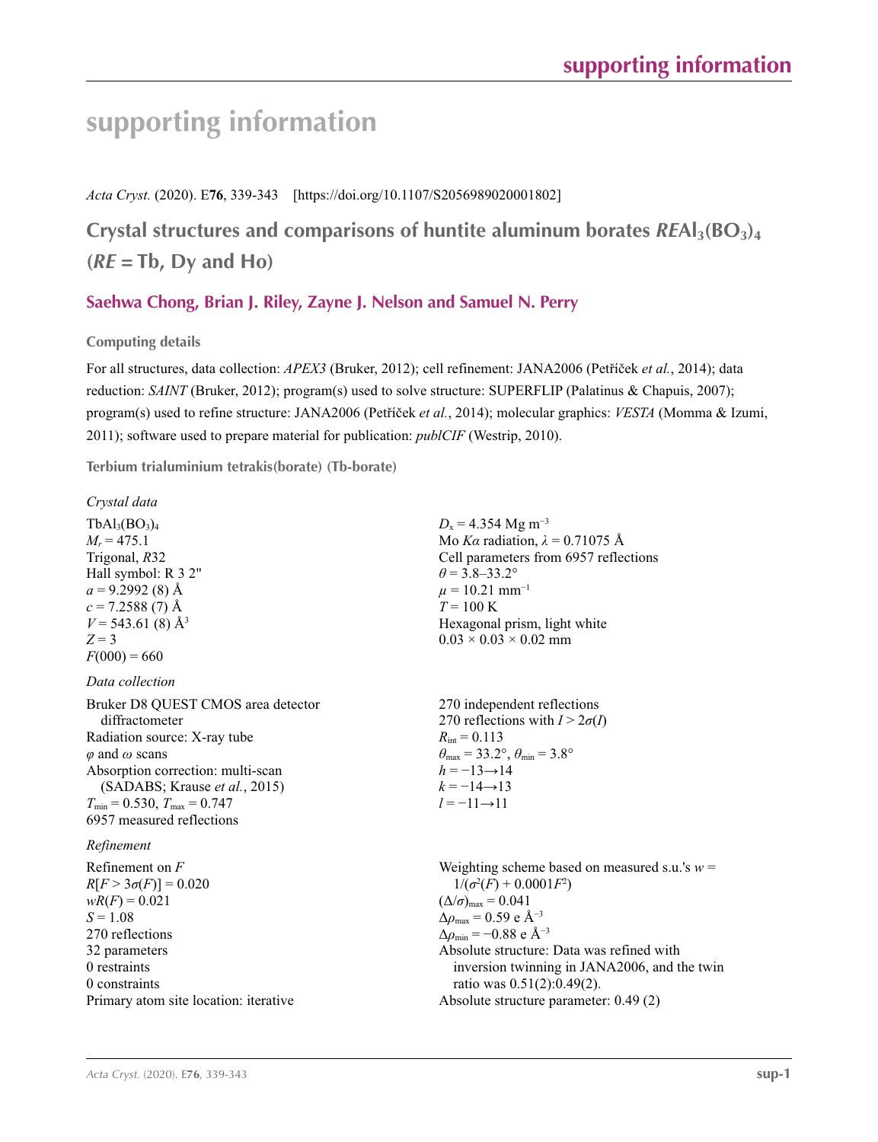# **supporting information**

*Acta Cryst.* (2020). E**76**, 339-343 [https://doi.org/10.1107/S2056989020001802]

**Crystal structures and comparisons of huntite aluminum borates**  $REAI<sub>3</sub>(BO<sub>3</sub>)<sub>4</sub>$  $(RE = Tb, Dy$  and  $Ho)$ 

## **Saehwa Chong, Brian J. Riley, Zayne J. Nelson and Samuel N. Perry**

**Computing details** 

For all structures, data collection: *APEX3* (Bruker, 2012); cell refinement: JANA2006 (Petříček *et al.*, 2014); data reduction: *SAINT* (Bruker, 2012); program(s) used to solve structure: SUPERFLIP (Palatinus & Chapuis, 2007); program(s) used to refine structure: JANA2006 (Petříček *et al.*, 2014); molecular graphics: *VESTA* (Momma & Izumi, 2011); software used to prepare material for publication: *publCIF* (Westrip, 2010).

**Terbium trialuminium tetrakis(borate) (Tb-borate)** 

| Crystal data                                                                                                                                                                                                                                                      |                                                                                                                                                                                                                                                                                                                                                                                                          |
|-------------------------------------------------------------------------------------------------------------------------------------------------------------------------------------------------------------------------------------------------------------------|----------------------------------------------------------------------------------------------------------------------------------------------------------------------------------------------------------------------------------------------------------------------------------------------------------------------------------------------------------------------------------------------------------|
| $TbAl3(BO3)4$<br>$M_r = 475.1$<br>Trigonal, R32<br>Hall symbol: R 3 2"<br>$a = 9.2992(8)$ Å<br>$c = 7.2588(7)$ Å<br>$V = 543.61(8)$ Å <sup>3</sup><br>$Z = 3$<br>$F(000) = 660$                                                                                   | $D_x = 4.354$ Mg m <sup>-3</sup><br>Mo Ka radiation, $\lambda = 0.71075$ Å<br>Cell parameters from 6957 reflections<br>$\theta = 3.8 - 33.2^{\circ}$<br>$\mu = 10.21$ mm <sup>-1</sup><br>$T = 100 \text{ K}$<br>Hexagonal prism, light white<br>$0.03 \times 0.03 \times 0.02$ mm                                                                                                                       |
| Data collection                                                                                                                                                                                                                                                   |                                                                                                                                                                                                                                                                                                                                                                                                          |
| Bruker D8 QUEST CMOS area detector<br>diffractometer<br>Radiation source: X-ray tube<br>$\varphi$ and $\omega$ scans<br>Absorption correction: multi-scan<br>(SADABS; Krause et al., 2015)<br>$T_{\min}$ = 0.530, $T_{\max}$ = 0.747<br>6957 measured reflections | 270 independent reflections<br>270 reflections with $I > 2\sigma(I)$<br>$R_{\text{int}} = 0.113$<br>$\theta_{\text{max}} = 33.2^{\circ}, \theta_{\text{min}} = 3.8^{\circ}$<br>$h = -13 \rightarrow 14$<br>$k = -14 \rightarrow 13$<br>$l = -11 \rightarrow 11$                                                                                                                                          |
| Refinement                                                                                                                                                                                                                                                        |                                                                                                                                                                                                                                                                                                                                                                                                          |
| Refinement on $F$<br>$R[F > 3\sigma(F)] = 0.020$<br>$wR(F) = 0.021$<br>$S = 1.08$<br>270 reflections<br>32 parameters<br>0 restraints<br>0 constraints<br>Primary atom site location: iterative                                                                   | Weighting scheme based on measured s.u.'s $w =$<br>$1/(\sigma^2(F) + 0.0001F^2)$<br>$(\Delta/\sigma)_{\text{max}} = 0.041$<br>$\Delta\rho_{\text{max}} = 0.59 \text{ e A}^{-3}$<br>$\Delta\rho_{\rm min}$ = -0.88 e Å <sup>-3</sup><br>Absolute structure: Data was refined with<br>inversion twinning in JANA2006, and the twin<br>ratio was 0.51(2):0.49(2).<br>Absolute structure parameter: 0.49 (2) |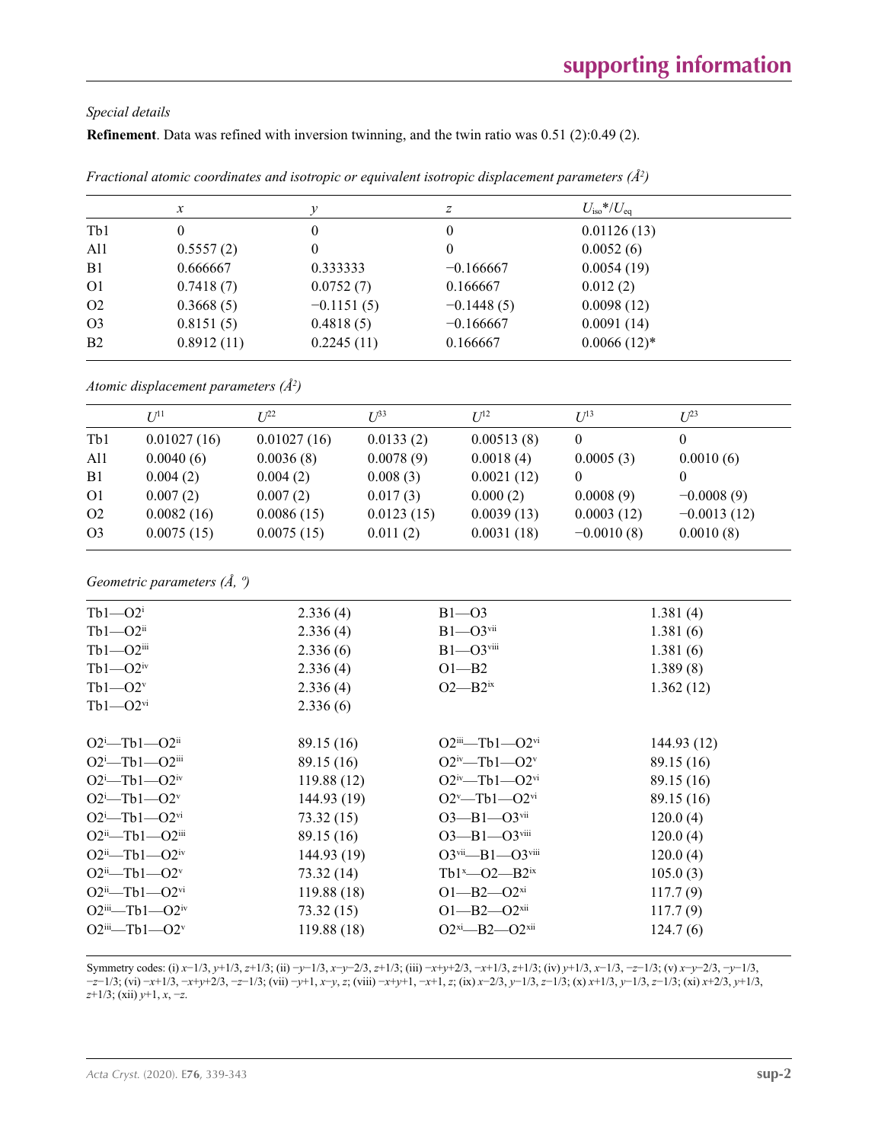## *Special details*

**Refinement**. Data was refined with inversion twinning, and the twin ratio was 0.51 (2):0.49 (2).

|                | $\boldsymbol{x}$ |              | z            | $U_{\rm iso} * / U_{\rm eq}$ |  |
|----------------|------------------|--------------|--------------|------------------------------|--|
| Tb1            | 0                | 0            | $\theta$     | 0.01126(13)                  |  |
| Al1            | 0.5557(2)        | 0            | $\mathbf{0}$ | 0.0052(6)                    |  |
| B <sub>1</sub> | 0.666667         | 0.333333     | $-0.166667$  | 0.0054(19)                   |  |
| O <sub>1</sub> | 0.7418(7)        | 0.0752(7)    | 0.166667     | 0.012(2)                     |  |
| O <sub>2</sub> | 0.3668(5)        | $-0.1151(5)$ | $-0.1448(5)$ | 0.0098(12)                   |  |
| O <sub>3</sub> | 0.8151(5)        | 0.4818(5)    | $-0.166667$  | 0.0091(14)                   |  |
| B <sub>2</sub> | 0.8912(11)       | 0.2245(11)   | 0.166667     | $0.0066(12)^*$               |  |
|                |                  |              |              |                              |  |

| Fractional atomic coordinates and isotropic or equivalent isotropic displacement parameters $(\hat{A}^2)$ |  |  |  |
|-----------------------------------------------------------------------------------------------------------|--|--|--|
|-----------------------------------------------------------------------------------------------------------|--|--|--|

*Atomic displacement parameters (Å2 )*

| $U^{11}$    | $I^{22}$    | $U^{\beta 3}$ | $I^{12}$                                         | $I^{13}$     | $I^{23}$      |
|-------------|-------------|---------------|--------------------------------------------------|--------------|---------------|
| 0.01027(16) | 0.01027(16) |               | 0.00513(8)                                       | 0            |               |
| 0.0040(6)   | 0.0036(8)   |               | 0.0018(4)                                        | 0.0005(3)    | 0.0010(6)     |
| 0.004(2)    | 0.004(2)    | 0.008(3)      | 0.0021(12)                                       | $\theta$     |               |
| 0.007(2)    | 0.007(2)    |               | 0.000(2)                                         | 0.0008(9)    | $-0.0008(9)$  |
| 0.0082(16)  | 0.0086(15)  |               | 0.0039(13)                                       | 0.0003(12)   | $-0.0013(12)$ |
| 0.0075(15)  | 0.0075(15)  | 0.011(2)      | 0.0031(18)                                       | $-0.0010(8)$ | 0.0010(8)     |
|             |             |               | 0.0133(2)<br>0.0078(9)<br>0.017(3)<br>0.0123(15) |              |               |

*Geometric parameters (Å, º)*

| $Tb1 - O2i$                         | 2.336(4)    | $B1 - 03$                                         | 1.381(4)    |
|-------------------------------------|-------------|---------------------------------------------------|-------------|
| $Tb1 - O2$ <sup>ii</sup>            | 2.336(4)    | $B1 - O3$ <sup>vii</sup>                          | 1.381(6)    |
| $Tb1 - O2$ iii                      | 2.336(6)    | $B1 - O3$ <sup>viii</sup>                         | 1.381(6)    |
| $Tb1 - O2$ <sup>iv</sup>            | 2.336(4)    | $O1 - B2$                                         | 1.389(8)    |
| $Tb1 - O2v$                         | 2.336(4)    | $O2$ — $B2$ <sup>ix</sup>                         | 1.362(12)   |
| $Tb1 - O2$ <sup>vi</sup>            | 2.336(6)    |                                                   |             |
| $O2^i$ —Tb1— $O2^{ii}$              | 89.15 (16)  | $O2$ <sup>ii</sup> —Tb1— $O2$ <sup>vi</sup>       | 144.93 (12) |
| $O2^i$ —Tb1— $O2^{iii}$             | 89.15 (16)  | $O2^{\rm iv}$ —Tb1—O2 <sup>v</sup>                | 89.15 (16)  |
| $O2^i$ -Tb1- $O2^{iv}$              | 119.88(12)  | $O2^{iv}$ —Tb1— $O2^{vi}$                         | 89.15 (16)  |
| $O2^i$ -Tb1- $O2^v$                 | 144.93 (19) | $O2^v$ —Tb1— $O2^{vi}$                            | 89.15 (16)  |
| $O2^i$ -Tb1- $O2^{vi}$              | 73.32 (15)  | $O3 - B1 - O3$ <sup>vii</sup>                     | 120.0(4)    |
| $O2ii$ -Tb1- $O2iii$                | 89.15 (16)  | $O3 - B1 - O3$ <sup>viii</sup>                    | 120.0(4)    |
| $O2^{ii}$ —Tb1— $O2^{iv}$           | 144.93 (19) | $O3$ <sup>vii</sup> — $B1$ — $O3$ <sup>viii</sup> | 120.0(4)    |
| $O2^{ii}$ —Tb1— $O2^v$              | 73.32 (14)  | Tb1 <sup>x</sup> -02-B2 <sup>ix</sup>             | 105.0(3)    |
| $O2^{ii}$ —Tb1— $O2^{vi}$           | 119.88(18)  | $O1 - B2 - O2^{xi}$                               | 117.7(9)    |
| $O2$ <sup>iii</sup> —Tb1— $O2^{iv}$ | 73.32(15)   | $O1 - B2 - O2$ <sup>xii</sup>                     | 117.7(9)    |
| $O2$ <sup>iii</sup> —Tb1— $O2^v$    | 119.88(18)  | $O2^{xi} - B2 - O2^{xii}$                         | 124.7(6)    |
|                                     |             |                                                   |             |

Symmetry codes: (i) x-1/3, y+1/3, z+1/3; (ii) -y-1/3, x-y-2/3, z+1/3; (iii) -x+y+2/3, -x+1/3, z+1/3; (iv) y+1/3, x-1/3, -z-1/3; (v) x-y-2/3, -y-1/3,  $-z-1/3$ ; (vi)  $-x+1/3$ ,  $-x+y+2/3$ ,  $-z-1/3$ ; (vii)  $-y+1$ ,  $x-y$ , z; (viii)  $-x+y+1$ ,  $-x+1$ , z; (ix)  $x-2/3$ ,  $y-1/3$ ,  $z-1/3$ ; (x)  $x+1/3$ ,  $y-1/3$ ,  $z-1/3$ ; (xi)  $x+2/3$ ,  $y+1/3$ , *z*+1/3; (xii) *y*+1, *x*, −*z*.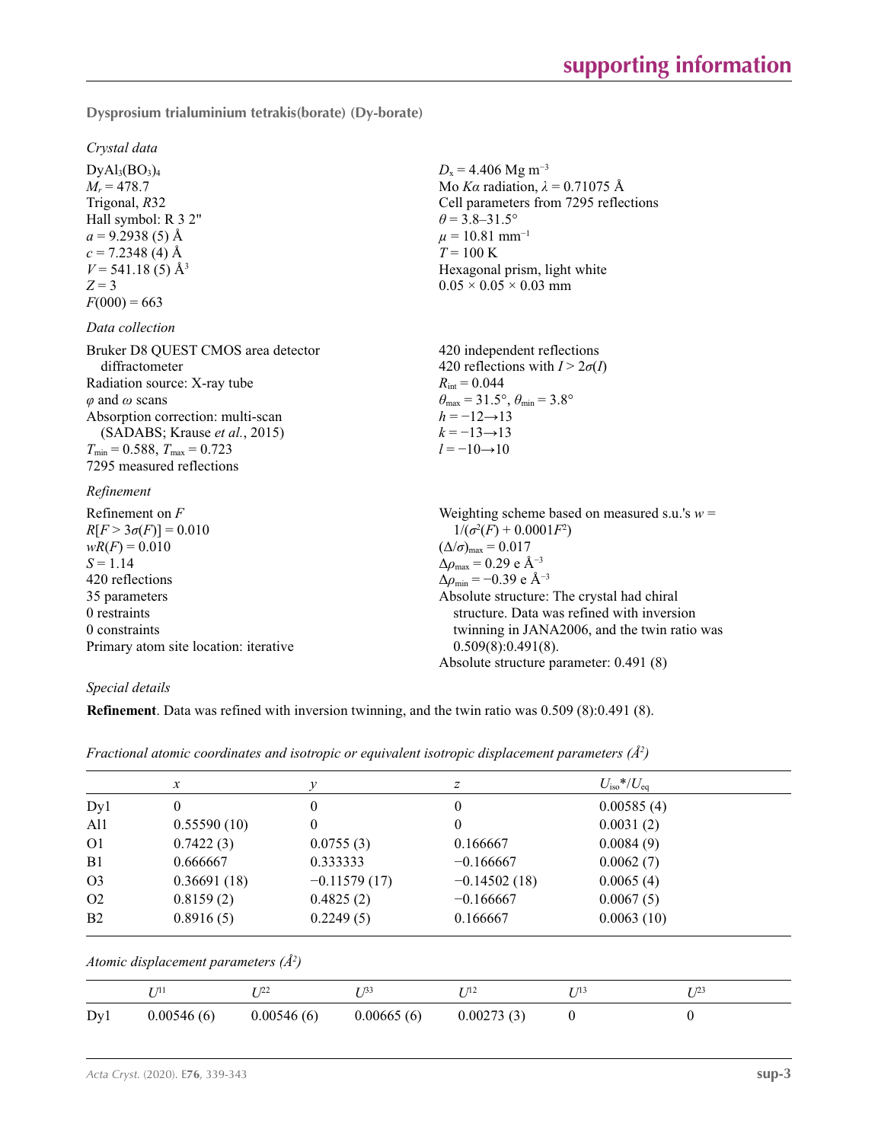**Dysprosium trialuminium tetrakis(borate) (Dy-borate)** 

*Crystal data*  $DyAl<sub>3</sub>(BO<sub>3</sub>)<sub>4</sub>$  $M_r = 478.7$ Trigonal, *R*32 Hall symbol: R 3 2"  $a = 9.2938(5)$  Å  $c = 7.2348$  (4) Å  $V = 541.18(5)$  Å<sup>3</sup>  $Z = 3$  $F(000) = 663$  $D_x = 4.406$  Mg m<sup>-3</sup> Mo *Kα* radiation,  $\lambda = 0.71075$  Å Cell parameters from 7295 reflections  $\theta$  = 3.8–31.5°  $\mu = 10.81$  mm<sup>-1</sup>  $T = 100 K$ Hexagonal prism, light white  $0.05 \times 0.05 \times 0.03$  mm *Data collection* Bruker D8 QUEST CMOS area detector diffractometer Radiation source: X-ray tube *φ* and *ω* scans Absorption correction: multi-scan (SADABS; Krause *et al.*, 2015)  $T_{\text{min}} = 0.588$ ,  $T_{\text{max}} = 0.723$ 7295 measured reflections 420 independent reflections 420 reflections with  $I > 2\sigma(I)$  $R_{\text{int}} = 0.044$  $\theta_{\text{max}} = 31.5^{\circ}, \theta_{\text{min}} = 3.8^{\circ}$  $h = -12 \rightarrow 13$  $k = -13 \rightarrow 13$  $l = -10 \rightarrow 10$ *Refinement* Refinement on *F*  $R[F > 3\sigma(F)] = 0.010$  $wR(F) = 0.010$  $S = 1.14$ 420 reflections 35 parameters 0 restraints 0 constraints Primary atom site location: iterative Weighting scheme based on measured s.u.'s  $w =$  $1/(\sigma^2(F) + 0.0001F^2)$  $(\Delta/\sigma)_{\text{max}} = 0.017$ Δ*ρ*max = 0.29 e Å−3  $\Delta\rho_{\text{min}} = -0.39$  e Å<sup>-3</sup> Absolute structure: The crystal had chiral structure. Data was refined with inversion twinning in JANA2006, and the twin ratio was 0.509(8):0.491(8). Absolute structure parameter: 0.491 (8)

#### *Special details*

**Refinement**. Data was refined with inversion twinning, and the twin ratio was 0.509 (8):0.491 (8).

| $\mathcal{X}$ | ν              | z              | $U_{\rm iso}$ */ $U_{\rm eq}$ |  |
|---------------|----------------|----------------|-------------------------------|--|
| $\mathbf{0}$  | 0              | 0              | 0.00585(4)                    |  |
| 0.55590(10)   | 0              | 0              | 0.0031(2)                     |  |
| 0.7422(3)     | 0.0755(3)      | 0.166667       | 0.0084(9)                     |  |
| 0.666667      | 0.333333       | $-0.166667$    | 0.0062(7)                     |  |
| 0.36691(18)   | $-0.11579(17)$ | $-0.14502(18)$ | 0.0065(4)                     |  |
| 0.8159(2)     | 0.4825(2)      | $-0.166667$    | 0.0067(5)                     |  |
| 0.8916(5)     | 0.2249(5)      | 0.166667       | 0.0063(10)                    |  |
|               |                |                |                               |  |

*Fractional atomic coordinates and isotropic or equivalent isotropic displacement parameters (Å2 )*

## *Atomic displacement parameters (Å2 )*

|     |            | 111        |            | ' 1 4      |  |
|-----|------------|------------|------------|------------|--|
| Dv1 | 0.00546(6) | 0.00546(6) | 0.00665(6) | 0.00273(3) |  |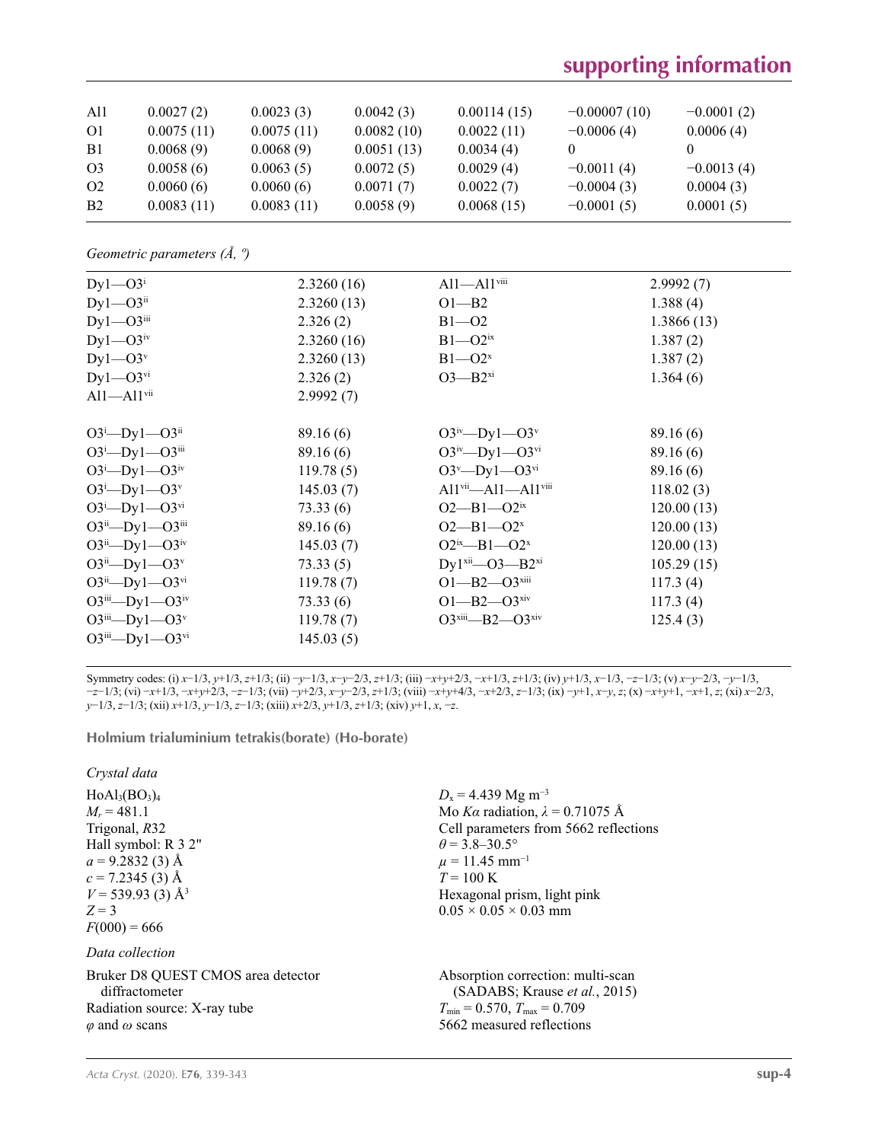# **supporting information**

| All<br>01      | 0.0027(2)<br>0.0075(11) | 0.0023(3)<br>0.0075(11) | 0.0042(3)<br>0.0082(10) | 0.00114(15)<br>0.0022(11) | $-0.00007(10)$<br>$-0.0006(4)$ | $-0.0001(2)$<br>0.0006(4) |
|----------------|-------------------------|-------------------------|-------------------------|---------------------------|--------------------------------|---------------------------|
| B1             | 0.0068(9)               | 0.0068(9)               | 0.0051(13)              | 0.0034(4)                 |                                |                           |
| O <sub>3</sub> | 0.0058(6)               | 0.0063(5)               | 0.0072(5)               | 0.0029(4)                 | $-0.0011(4)$                   | $-0.0013(4)$              |
| O <sub>2</sub> | 0.0060(6)               | 0.0060(6)               | 0.0071(7)               | 0.0022(7)                 | $-0.0004(3)$                   | 0.0004(3)                 |
| <b>B2</b>      | 0.0083(11)              | 0.0083(11)              | 0.0058(9)               | 0.0068(15)                | $-0.0001(5)$                   | 0.0001(5)                 |

*Geometric parameters (Å, º)*

| $Dy1 - O3i$                    | 2.3260(16) | $Al1 - Al1$ <sup>viii</sup>     | 2.9992(7)  |
|--------------------------------|------------|---------------------------------|------------|
| $Dy1 - O3$ <sup>ii</sup>       | 2.3260(13) | $O1 - B2$                       | 1.388(4)   |
| $Dy1 - O3$ <sup>iii</sup>      | 2.326(2)   | $B1 - 02$                       | 1.3866(13) |
| $Dy$ 1— $O3^{iv}$              | 2.3260(16) | $B1 - O2ix$                     | 1.387(2)   |
| $Dy1 - O3^v$                   | 2.3260(13) | $B1 - O2^x$                     | 1.387(2)   |
| $Dy$ 1— $O3$ <sup>vi</sup>     | 2.326(2)   | $O3 - B2^{xi}$                  | 1.364(6)   |
| $Al1 - Al1$ <sup>vii</sup>     | 2.9992(7)  |                                 |            |
|                                |            |                                 |            |
| $O3^i$ -Dyl- $O3^i$            | 89.16(6)   | $O3^{iv}$ -Dyl- $O3^v$          | 89.16(6)   |
| $O3^i$ -Dyl- $O3^{iii}$        | 89.16(6)   | $O3^{iv}$ —Dy1—O3 <sup>vi</sup> | 89.16(6)   |
| $O3^i$ -Dyl- $O3^{iv}$         | 119.78(5)  | $O3^v$ —Dy1—O3 <sup>vi</sup>    | 89.16(6)   |
| $O3^i$ -Dyl- $O3^v$            | 145.03(7)  | $Al1vi—Al1—Al1viii$             | 118.02(3)  |
| $O3^i$ -Dyl- $O3^{vi}$         | 73.33(6)   | $O2 - B1 - O2$ <sup>ix</sup>    | 120.00(13) |
| $O3^{ii}$ — $Dy1$ — $O3^{iii}$ | 89.16(6)   | $O2 - B1 - O2^x$                | 120.00(13) |
| $O3^{ii}$ — $Dy1$ — $O3^{iv}$  | 145.03(7)  | $O2^{ix} - B1 - O2^{x}$         | 120.00(13) |
| $O3^{ii}$ — $Dy1$ — $O3^{v}$   | 73.33(5)   | $Dy1^{xii}$ - $O3$ - $B2^{xi}$  | 105.29(15) |
| $O3^{ii}$ — $Dy1$ — $O3^{vi}$  | 119.78(7)  | $O1 - B2 - O3$ <sup>xiii</sup>  | 117.3(4)   |
| $O3^{iii}$ — $Dy1$ — $O3^{iv}$ | 73.33(6)   | $O1 - B2 - O3$ <sup>xiv</sup>   | 117.3(4)   |
| $O3^{iii}$ — $Dy1$ — $O3^v$    | 119.78(7)  | $O3^{xiii} - B2 - O3^{xiv}$     | 125.4(3)   |
| $O3^{iii}$ — $Dy1$ — $O3^{vi}$ | 145.03(5)  |                                 |            |

Symmetry codes: (i)  $x-1/3$ ,  $y+1/3$ ,  $z+1/3$ ; (ii)  $-y-1/3$ ,  $x-y-2/3$ ,  $z+1/3$ ; (iii)  $-x+y+2/3$ ,  $-x+1/3$ ,  $z+1/3$ ; (iv)  $y+1/3$ ,  $x-1/3$ ,  $-z-1/3$ ; (v)  $x-y-2/3$ ,  $-y-1/3$ ,  $-z-1/3$ ; (vi)  $-x+1/3$ ,  $-x+y+2/3$ ,  $-z-1/3$ ; (vii)  $-y+2/3$ ,  $x-y-2/3$ ,  $z+1/3$ ; (viii)  $-x+y+4/3$ ,  $-x+2/3$ ,  $z-1/3$ ; (ix)  $-y+1$ ,  $x-y$ ,  $z$ ; (x)  $-x+y+1$ ,  $-x+1$ ,  $z$ ; (xi)  $x-2/3$ , *y*−1/3, *z*−1/3; (xii) *x*+1/3, *y*−1/3, *z*−1/3; (xiii) *x*+2/3, *y*+1/3, *z*+1/3; (xiv) *y*+1, *x*, −*z*.

#### **Holmium trialuminium tetrakis(borate) (Ho-borate)**

*Crystal data*

 $HoAl<sub>3</sub>(BO<sub>3</sub>)<sub>4</sub>$  $M_r = 481.1$ Trigonal, *R*32 Hall symbol: R 3 2"  $a = 9.2832(3)$  Å  $c = 7.2345(3)$  Å  $V = 539.93$  (3) Å<sup>3</sup>  $Z = 3$  $F(000) = 666$ 

*Data collection*

Bruker D8 QUEST CMOS area detector diffractometer Radiation source: X-ray tube *φ* and *ω* scans

 $D_x = 4.439$  Mg m<sup>-3</sup> Mo *Kα* radiation,  $\lambda = 0.71075$  Å Cell parameters from 5662 reflections  $\theta$  = 3.8–30.5°  $\mu = 11.45$  mm<sup>-1</sup>  $T = 100 \text{ K}$ Hexagonal prism, light pink  $0.05 \times 0.05 \times 0.03$  mm

Absorption correction: multi-scan (SADABS; Krause *et al.*, 2015)  $T_{\text{min}} = 0.570$ ,  $T_{\text{max}} = 0.709$ 5662 measured reflections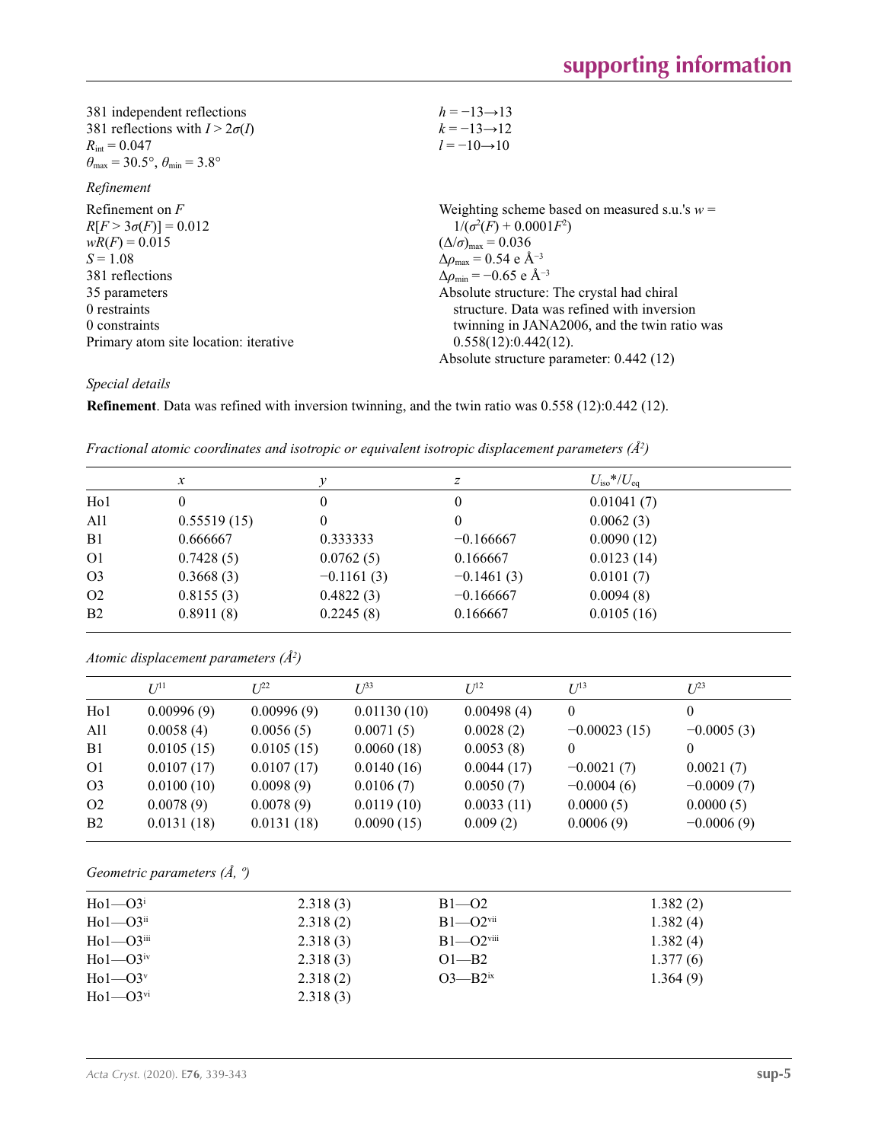| 381 independent reflections                                             | $h = -13 \rightarrow 13$                           |
|-------------------------------------------------------------------------|----------------------------------------------------|
| 381 reflections with $I > 2\sigma(I)$                                   | $k = -13 \rightarrow 12$                           |
| $R_{\rm int} = 0.047$                                                   | $l = -10 \rightarrow 10$                           |
| $\theta_{\text{max}} = 30.5^{\circ}, \theta_{\text{min}} = 3.8^{\circ}$ |                                                    |
| Refinement                                                              |                                                    |
| Refinement on $F$                                                       | Weighting scheme based on measured s.u.'s $w =$    |
| $R[F > 3\sigma(F)] = 0.012$                                             | $1/(\sigma^2(F) + 0.0001F^2)$                      |
| $wR(F) = 0.015$                                                         | $(\Delta/\sigma)_{\text{max}} = 0.036$             |
| $S = 1.08$                                                              | $\Delta\rho_{\text{max}} = 0.54$ e Å <sup>-3</sup> |
| 381 reflections                                                         | $\Delta\rho_{\rm min} = -0.65$ e Å <sup>-3</sup>   |
| 35 parameters                                                           | Absolute structure: The crystal had chiral         |
| 0 restraints                                                            | structure. Data was refined with inversion         |
| 0 constraints                                                           | twinning in JANA2006, and the twin ratio was       |
| Primary atom site location: iterative                                   | 0.558(12):0.442(12).                               |
|                                                                         | Absolute structure parameter: 0.442 (12)           |

*Special details*

**Refinement**. Data was refined with inversion twinning, and the twin ratio was 0.558 (12):0.442 (12).

|                  | $\mathcal{X}$ | ν            | z            | $U_{\rm iso} * / U_{\rm eq}$ |  |
|------------------|---------------|--------------|--------------|------------------------------|--|
| H <sub>o</sub> 1 | 0             | 0            | 0            | 0.01041(7)                   |  |
| A11              | 0.55519(15)   | 0            |              | 0.0062(3)                    |  |
| B1               | 0.666667      | 0.333333     | $-0.166667$  | 0.0090(12)                   |  |
| O <sub>1</sub>   | 0.7428(5)     | 0.0762(5)    | 0.166667     | 0.0123(14)                   |  |
| O <sub>3</sub>   | 0.3668(3)     | $-0.1161(3)$ | $-0.1461(3)$ | 0.0101(7)                    |  |
| O <sub>2</sub>   | 0.8155(3)     | 0.4822(3)    | $-0.166667$  | 0.0094(8)                    |  |
| B <sub>2</sub>   | 0.8911(8)     | 0.2245(8)    | 0.166667     | 0.0105(16)                   |  |

*Fractional atomic coordinates and isotropic or equivalent isotropic displacement parameters (Å2 )*

*Atomic displacement parameters (Å2 )*

|                  | I/I <sup>1</sup> | $L^{22}$   | $I^{\beta 3}$ | $U^{12}$   | $U^{13}$       | $L^{23}$     |
|------------------|------------------|------------|---------------|------------|----------------|--------------|
|                  |                  |            |               |            |                |              |
| H <sub>0</sub> 1 | 0.00996(9)       | 0.00996(9) | 0.01130(10)   | 0.00498(4) | $\theta$       | 0            |
| Al1              | 0.0058(4)        | 0.0056(5)  | 0.0071(5)     | 0.0028(2)  | $-0.00023(15)$ | $-0.0005(3)$ |
| B <sub>1</sub>   | 0.0105(15)       | 0.0105(15) | 0.0060(18)    | 0.0053(8)  | $\theta$       | 0            |
| O <sub>1</sub>   | 0.0107(17)       | 0.0107(17) | 0.0140(16)    | 0.0044(17) | $-0.0021(7)$   | 0.0021(7)    |
| O <sub>3</sub>   | 0.0100(10)       | 0.0098(9)  | 0.0106(7)     | 0.0050(7)  | $-0.0004(6)$   | $-0.0009(7)$ |
| O <sub>2</sub>   | 0.0078(9)        | 0.0078(9)  | 0.0119(10)    | 0.0033(11) | 0.0000(5)      | 0.0000(5)    |
| B <sub>2</sub>   | 0.0131(18)       | 0.0131(18) | 0.0090(15)    | 0.009(2)   | 0.0006(9)      | $-0.0006(9)$ |

*Geometric parameters (Å, º)*

| $H_01 - 03$ <sup>i</sup>    | 2.318(3) | $B1 - 02$                 | 1.382(2) |
|-----------------------------|----------|---------------------------|----------|
| $Ho1-O3ii$                  | 2.318(2) | $B1 - O2$ <sup>vii</sup>  | 1.382(4) |
| $Ho1$ — $O3$ <sup>iii</sup> | 2.318(3) | $B1 - O2$ <sup>viii</sup> | 1.382(4) |
| $Ho1 - O3$ <sup>iv</sup>    | 2.318(3) | $O1 - B2$                 | 1.377(6) |
| $H_01 - O3^v$               | 2.318(2) | $O3 - B2ix$               | 1.364(9) |
| $Ho1-O3vi$                  | 2.318(3) |                           |          |